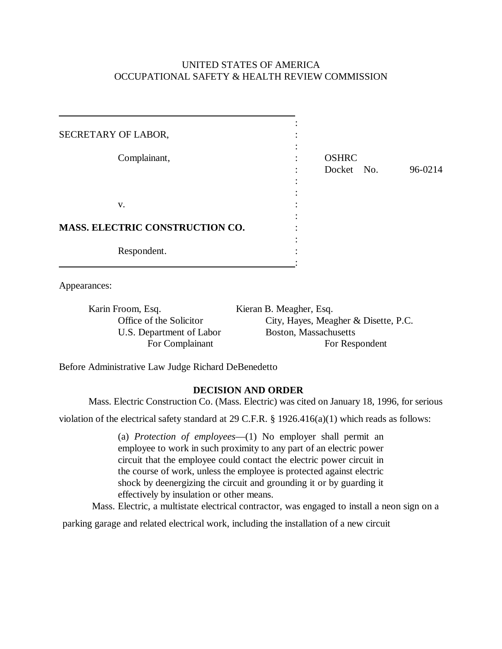## UNITED STATES OF AMERICA OCCUPATIONAL SAFETY & HEALTH REVIEW COMMISSION

| SECRETARY OF LABOR,                    |                            |         |
|----------------------------------------|----------------------------|---------|
| Complainant,                           | <b>OSHRC</b><br>Docket No. | 96-0214 |
| V.                                     |                            |         |
| <b>MASS. ELECTRIC CONSTRUCTION CO.</b> |                            |         |
| Respondent.                            |                            |         |

Appearances:

Karin Froom, Esq. Kieran B. Meagher, Esq. U.S. Department of Labor Boston, Massachusetts

Office of the Solicitor City, Hayes, Meagher & Disette, P.C. For Complainant For Respondent

Before Administrative Law Judge Richard DeBenedetto

## **DECISION AND ORDER**

Mass. Electric Construction Co. (Mass. Electric) was cited on January 18, 1996, for serious

violation of the electrical safety standard at 29 C.F.R. § 1926.416(a)(1) which reads as follows:

(a) *Protection of employees*—(1) No employer shall permit an employee to work in such proximity to any part of an electric power circuit that the employee could contact the electric power circuit in the course of work, unless the employee is protected against electric shock by deenergizing the circuit and grounding it or by guarding it effectively by insulation or other means.

Mass. Electric, a multistate electrical contractor, was engaged to install a neon sign on a

parking garage and related electrical work, including the installation of a new circuit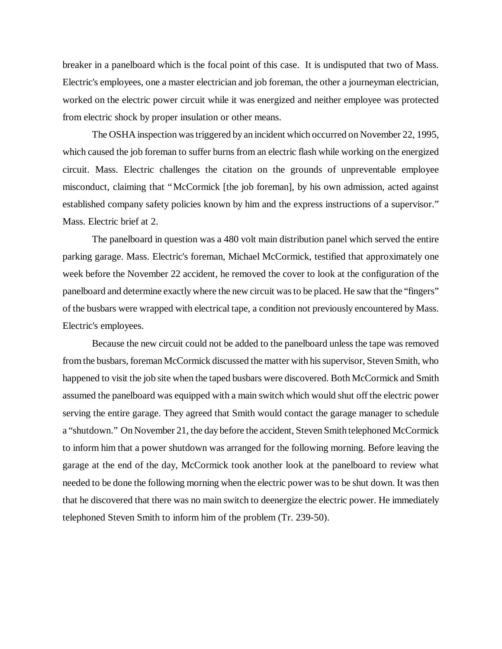breaker in a panelboard which is the focal point of this case. It is undisputed that two of Mass. Electric's employees, one a master electrician and job foreman, the other a journeyman electrician, worked on the electric power circuit while it was energized and neither employee was protected from electric shock by proper insulation or other means.

The OSHA inspection was triggered by an incident which occurred on November 22, 1995, which caused the job foreman to suffer burns from an electric flash while working on the energized circuit. Mass. Electric challenges the citation on the grounds of unpreventable employee misconduct, claiming that "McCormick [the job foreman], by his own admission, acted against established company safety policies known by him and the express instructions of a supervisor." Mass. Electric brief at 2.

The panelboard in question was a 480 volt main distribution panel which served the entire parking garage. Mass. Electric's foreman, Michael McCormick, testified that approximately one week before the November 22 accident, he removed the cover to look at the configuration of the panelboard and determine exactly where the new circuit was to be placed. He saw that the "fingers" of the busbars were wrapped with electrical tape, a condition not previously encountered by Mass. Electric's employees.

Because the new circuit could not be added to the panelboard unless the tape was removed from the busbars, foreman McCormick discussed the matter with his supervisor, Steven Smith, who happened to visit the job site when the taped busbars were discovered. Both McCormick and Smith assumed the panelboard was equipped with a main switch which would shut off the electric power serving the entire garage. They agreed that Smith would contact the garage manager to schedule a "shutdown." On November 21, the day before the accident, Steven Smith telephoned McCormick to inform him that a power shutdown was arranged for the following morning. Before leaving the garage at the end of the day, McCormick took another look at the panelboard to review what needed to be done the following morning when the electric power was to be shut down. It was then that he discovered that there was no main switch to deenergize the electric power. He immediately telephoned Steven Smith to inform him of the problem (Tr. 239-50).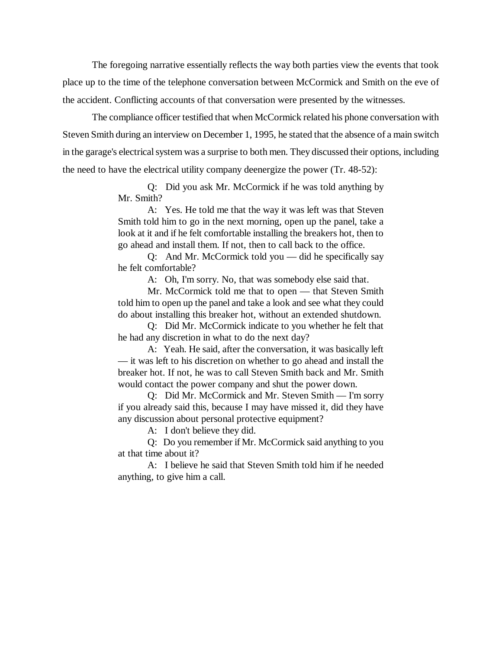The foregoing narrative essentially reflects the way both parties view the events that took place up to the time of the telephone conversation between McCormick and Smith on the eve of the accident. Conflicting accounts of that conversation were presented by the witnesses.

The compliance officer testified that when McCormick related his phone conversation with Steven Smith during an interview on December 1, 1995, he stated that the absence of a main switch in the garage's electrical system was a surprise to both men. They discussed their options, including the need to have the electrical utility company deenergize the power (Tr. 48-52):

> Q: Did you ask Mr. McCormick if he was told anything by Mr. Smith?

> A: Yes. He told me that the way it was left was that Steven Smith told him to go in the next morning, open up the panel, take a look at it and if he felt comfortable installing the breakers hot, then to go ahead and install them. If not, then to call back to the office.

> Q: And Mr. McCormick told you — did he specifically say he felt comfortable?

> > A: Oh, I'm sorry. No, that was somebody else said that.

Mr. McCormick told me that to open — that Steven Smith told him to open up the panel and take a look and see what they could do about installing this breaker hot, without an extended shutdown.

Q: Did Mr. McCormick indicate to you whether he felt that he had any discretion in what to do the next day?

A: Yeah. He said, after the conversation, it was basically left — it was left to his discretion on whether to go ahead and install the breaker hot. If not, he was to call Steven Smith back and Mr. Smith would contact the power company and shut the power down.

Q: Did Mr. McCormick and Mr. Steven Smith — I'm sorry if you already said this, because I may have missed it, did they have any discussion about personal protective equipment?

A: I don't believe they did.

Q: Do you remember if Mr. McCormick said anything to you at that time about it?

A: I believe he said that Steven Smith told him if he needed anything, to give him a call.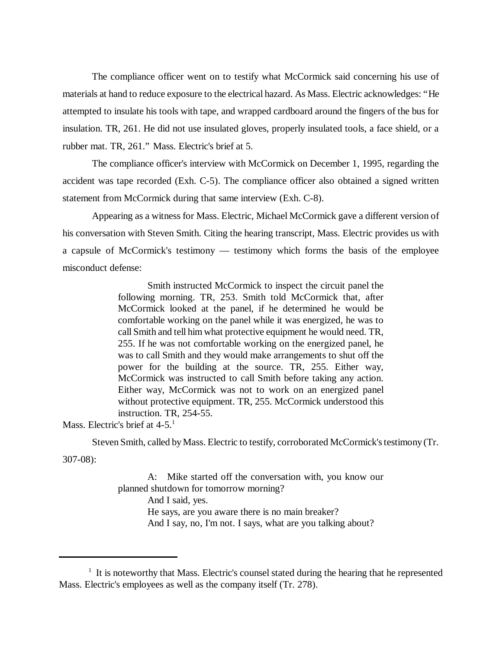The compliance officer went on to testify what McCormick said concerning his use of materials at hand to reduce exposure to the electrical hazard. As Mass. Electric acknowledges: "He attempted to insulate his tools with tape, and wrapped cardboard around the fingers of the bus for insulation. TR, 261. He did not use insulated gloves, properly insulated tools, a face shield, or a rubber mat. TR, 261." Mass. Electric's brief at 5.

The compliance officer's interview with McCormick on December 1, 1995, regarding the accident was tape recorded (Exh. C-5). The compliance officer also obtained a signed written statement from McCormick during that same interview (Exh. C-8).

Appearing as a witness for Mass. Electric, Michael McCormick gave a different version of his conversation with Steven Smith. Citing the hearing transcript, Mass. Electric provides us with a capsule of McCormick's testimony — testimony which forms the basis of the employee misconduct defense:

> Smith instructed McCormick to inspect the circuit panel the following morning. TR, 253. Smith told McCormick that, after McCormick looked at the panel, if he determined he would be comfortable working on the panel while it was energized, he was to call Smith and tell him what protective equipment he would need. TR, 255. If he was not comfortable working on the energized panel, he was to call Smith and they would make arrangements to shut off the power for the building at the source. TR, 255. Either way, McCormick was instructed to call Smith before taking any action. Either way, McCormick was not to work on an energized panel without protective equipment. TR, 255. McCormick understood this instruction. TR, 254-55.

Mass. Electric's brief at 4-5.<sup>1</sup>

Steven Smith, called by Mass. Electric to testify, corroborated McCormick's testimony (Tr.

307-08):

A: Mike started off the conversation with, you know our planned shutdown for tomorrow morning? And I said, yes. He says, are you aware there is no main breaker? And I say, no, I'm not. I says, what are you talking about?

<sup>&</sup>lt;sup>1</sup> It is noteworthy that Mass. Electric's counsel stated during the hearing that he represented Mass. Electric's employees as well as the company itself (Tr. 278).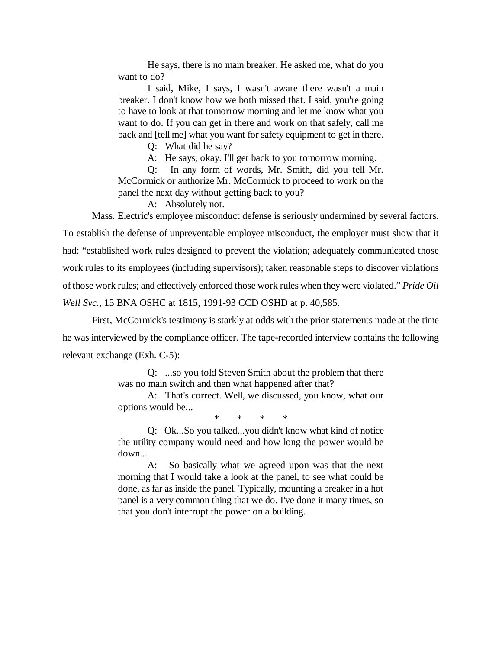He says, there is no main breaker. He asked me, what do you want to do?

I said, Mike, I says, I wasn't aware there wasn't a main breaker. I don't know how we both missed that. I said, you're going to have to look at that tomorrow morning and let me know what you want to do. If you can get in there and work on that safely, call me back and [tell me] what you want for safety equipment to get in there.

Q: What did he say?

A: He says, okay. I'll get back to you tomorrow morning.

Q: In any form of words, Mr. Smith, did you tell Mr. McCormick or authorize Mr. McCormick to proceed to work on the panel the next day without getting back to you?

A: Absolutely not.

Mass. Electric's employee misconduct defense is seriously undermined by several factors. To establish the defense of unpreventable employee misconduct, the employer must show that it had: "established work rules designed to prevent the violation; adequately communicated those work rules to its employees (including supervisors); taken reasonable steps to discover violations of those work rules; and effectively enforced those work rules when they were violated." *Pride Oil Well Svc.*, 15 BNA OSHC at 1815, 1991-93 CCD OSHD at p. 40,585.

First, McCormick's testimony is starkly at odds with the prior statements made at the time he was interviewed by the compliance officer. The tape-recorded interview contains the following relevant exchange (Exh. C-5):

> Q: ...so you told Steven Smith about the problem that there was no main switch and then what happened after that?

> A: That's correct. Well, we discussed, you know, what our options would be...

> > \* \* \* \*

Q: Ok...So you talked...you didn't know what kind of notice the utility company would need and how long the power would be down...

A: So basically what we agreed upon was that the next morning that I would take a look at the panel, to see what could be done, as far as inside the panel. Typically, mounting a breaker in a hot panel is a very common thing that we do. I've done it many times, so that you don't interrupt the power on a building.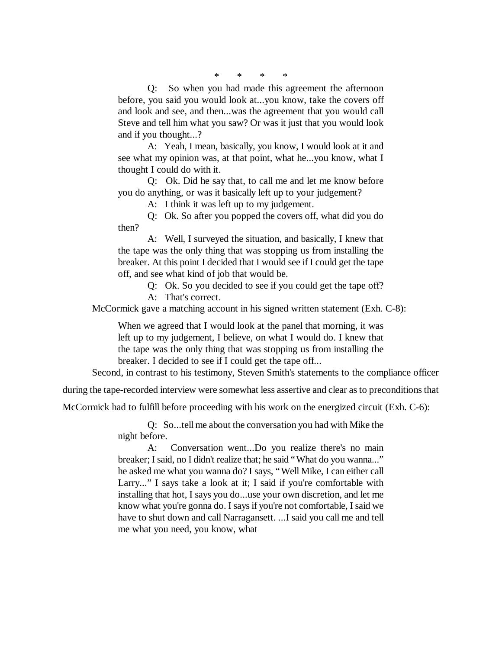\* \* \* \*

Q: So when you had made this agreement the afternoon before, you said you would look at...you know, take the covers off and look and see, and then...was the agreement that you would call Steve and tell him what you saw? Or was it just that you would look and if you thought...?

A: Yeah, I mean, basically, you know, I would look at it and see what my opinion was, at that point, what he...you know, what I thought I could do with it.

Q: Ok. Did he say that, to call me and let me know before you do anything, or was it basically left up to your judgement?

A: I think it was left up to my judgement.

Q: Ok. So after you popped the covers off, what did you do then?

A: Well, I surveyed the situation, and basically, I knew that the tape was the only thing that was stopping us from installing the breaker. At this point I decided that I would see if I could get the tape off, and see what kind of job that would be.

> Q: Ok. So you decided to see if you could get the tape off? A: That's correct.

McCormick gave a matching account in his signed written statement (Exh. C-8):

When we agreed that I would look at the panel that morning, it was left up to my judgement, I believe, on what I would do. I knew that the tape was the only thing that was stopping us from installing the breaker. I decided to see if I could get the tape off...

Second, in contrast to his testimony, Steven Smith's statements to the compliance officer

during the tape-recorded interview were somewhat less assertive and clear as to preconditions that

McCormick had to fulfill before proceeding with his work on the energized circuit (Exh. C-6):

Q: So...tell me about the conversation you had with Mike the night before.

A: Conversation went...Do you realize there's no main breaker; I said, no I didn't realize that; he said "What do you wanna..." he asked me what you wanna do? I says, "Well Mike, I can either call Larry..." I says take a look at it; I said if you're comfortable with installing that hot, I says you do...use your own discretion, and let me know what you're gonna do. I says if you're not comfortable, I said we have to shut down and call Narragansett. ...I said you call me and tell me what you need, you know, what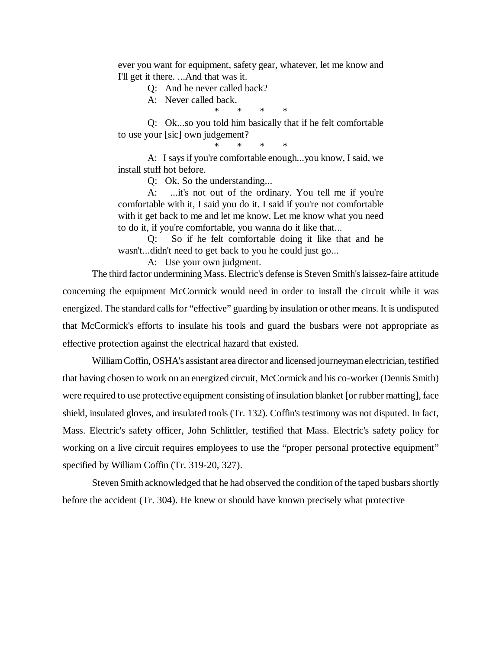ever you want for equipment, safety gear, whatever, let me know and I'll get it there. ...And that was it.

Q: And he never called back?

A: Never called back.

\* \* \* \*

Q: Ok...so you told him basically that if he felt comfortable to use your [sic] own judgement?

\* \* \* \*

A: I says if you're comfortable enough...you know, I said, we install stuff hot before.

Q: Ok. So the understanding...

A: ...it's not out of the ordinary. You tell me if you're comfortable with it, I said you do it. I said if you're not comfortable with it get back to me and let me know. Let me know what you need to do it, if you're comfortable, you wanna do it like that...

Q: So if he felt comfortable doing it like that and he wasn't...didn't need to get back to you he could just go...

A: Use your own judgment.

The third factor undermining Mass. Electric's defense is Steven Smith's laissez-faire attitude concerning the equipment McCormick would need in order to install the circuit while it was energized. The standard calls for "effective" guarding by insulation or other means. It is undisputed that McCormick's efforts to insulate his tools and guard the busbars were not appropriate as effective protection against the electrical hazard that existed.

William Coffin, OSHA's assistant area director and licensed journeyman electrician, testified that having chosen to work on an energized circuit, McCormick and his co-worker (Dennis Smith) were required to use protective equipment consisting of insulation blanket [or rubber matting], face shield, insulated gloves, and insulated tools (Tr. 132). Coffin's testimony was not disputed. In fact, Mass. Electric's safety officer, John Schlittler, testified that Mass. Electric's safety policy for working on a live circuit requires employees to use the "proper personal protective equipment" specified by William Coffin (Tr. 319-20, 327).

Steven Smith acknowledged that he had observed the condition of the taped busbars shortly before the accident (Tr. 304). He knew or should have known precisely what protective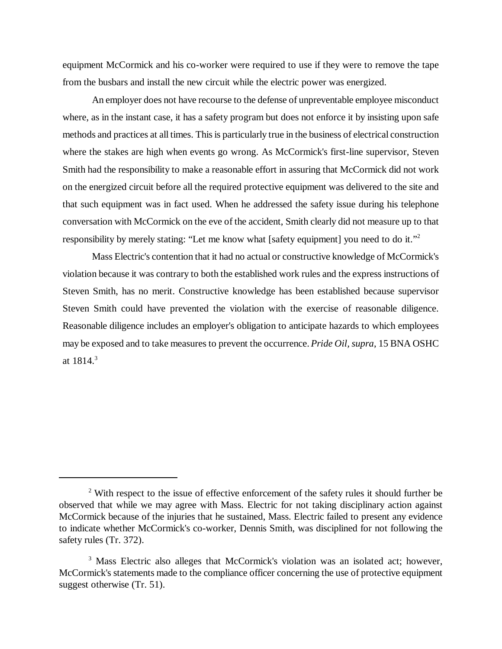equipment McCormick and his co-worker were required to use if they were to remove the tape from the busbars and install the new circuit while the electric power was energized.

An employer does not have recourse to the defense of unpreventable employee misconduct where, as in the instant case, it has a safety program but does not enforce it by insisting upon safe methods and practices at all times. This is particularly true in the business of electrical construction where the stakes are high when events go wrong. As McCormick's first-line supervisor, Steven Smith had the responsibility to make a reasonable effort in assuring that McCormick did not work on the energized circuit before all the required protective equipment was delivered to the site and that such equipment was in fact used. When he addressed the safety issue during his telephone conversation with McCormick on the eve of the accident, Smith clearly did not measure up to that responsibility by merely stating: "Let me know what [safety equipment] you need to do it."<sup>2</sup>

Mass Electric's contention that it had no actual or constructive knowledge of McCormick's violation because it was contrary to both the established work rules and the express instructions of Steven Smith, has no merit. Constructive knowledge has been established because supervisor Steven Smith could have prevented the violation with the exercise of reasonable diligence. Reasonable diligence includes an employer's obligation to anticipate hazards to which employees may be exposed and to take measures to prevent the occurrence. *Pride Oil, supra*, 15 BNA OSHC at  $1814.3$ 

 $2$  With respect to the issue of effective enforcement of the safety rules it should further be observed that while we may agree with Mass. Electric for not taking disciplinary action against McCormick because of the injuries that he sustained, Mass. Electric failed to present any evidence to indicate whether McCormick's co-worker, Dennis Smith, was disciplined for not following the safety rules (Tr. 372).

<sup>&</sup>lt;sup>3</sup> Mass Electric also alleges that McCormick's violation was an isolated act; however, McCormick's statements made to the compliance officer concerning the use of protective equipment suggest otherwise (Tr. 51).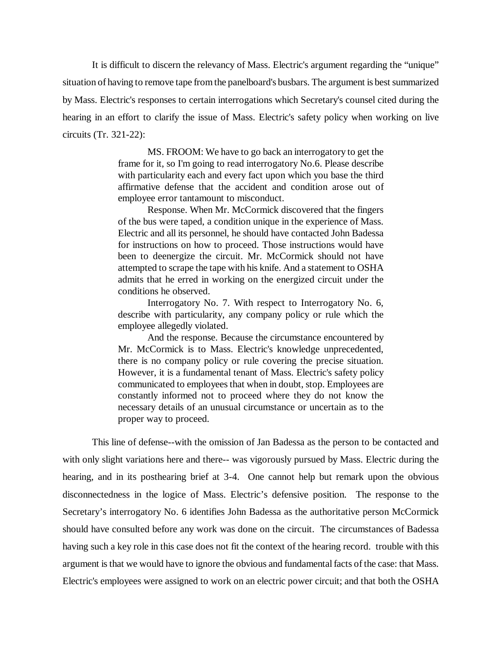It is difficult to discern the relevancy of Mass. Electric's argument regarding the "unique" situation of having to remove tape from the panelboard's busbars. The argument is best summarized by Mass. Electric's responses to certain interrogations which Secretary's counsel cited during the hearing in an effort to clarify the issue of Mass. Electric's safety policy when working on live circuits (Tr. 321-22):

> MS. FROOM: We have to go back an interrogatory to get the frame for it, so I'm going to read interrogatory No.6. Please describe with particularity each and every fact upon which you base the third affirmative defense that the accident and condition arose out of employee error tantamount to misconduct.

> Response. When Mr. McCormick discovered that the fingers of the bus were taped, a condition unique in the experience of Mass. Electric and all its personnel, he should have contacted John Badessa for instructions on how to proceed. Those instructions would have been to deenergize the circuit. Mr. McCormick should not have attempted to scrape the tape with his knife. And a statement to OSHA admits that he erred in working on the energized circuit under the conditions he observed.

> Interrogatory No. 7. With respect to Interrogatory No. 6, describe with particularity, any company policy or rule which the employee allegedly violated.

> And the response. Because the circumstance encountered by Mr. McCormick is to Mass. Electric's knowledge unprecedented, there is no company policy or rule covering the precise situation. However, it is a fundamental tenant of Mass. Electric's safety policy communicated to employees that when in doubt, stop. Employees are constantly informed not to proceed where they do not know the necessary details of an unusual circumstance or uncertain as to the proper way to proceed.

This line of defense--with the omission of Jan Badessa as the person to be contacted and with only slight variations here and there-- was vigorously pursued by Mass. Electric during the hearing, and in its posthearing brief at 3-4. One cannot help but remark upon the obvious disconnectedness in the logice of Mass. Electric's defensive position. The response to the Secretary's interrogatory No. 6 identifies John Badessa as the authoritative person McCormick should have consulted before any work was done on the circuit. The circumstances of Badessa having such a key role in this case does not fit the context of the hearing record. trouble with this argument is that we would have to ignore the obvious and fundamental facts of the case: that Mass. Electric's employees were assigned to work on an electric power circuit; and that both the OSHA